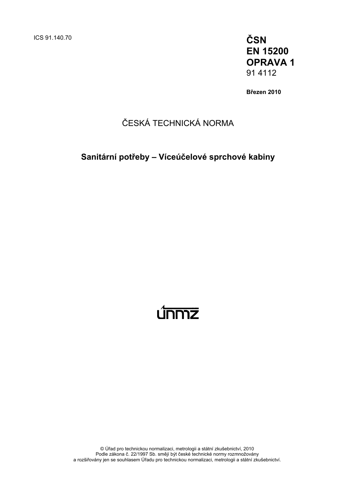**EN 15200 OPRAVA 1**  91 4112

**Březen 2010** 

## ČESKÁ TECHNICKÁ NORMA

**Sanitární potřeby – Víceúčelové sprchové kabiny** 

# <u>únmz</u>

© Úřad pro technickou normalizaci, metrologii a státní zkušebnictví, 2010 Podle zákona č. 22/1997 Sb. smějí být české technické normy rozmnožovány a rozšiřovány jen se souhlasem Úřadu pro technickou normalizaci, metrologii a státní zkušebnictví.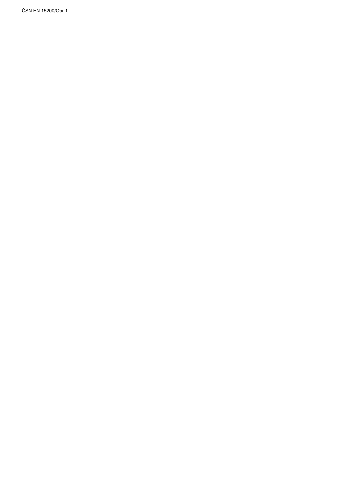ČSN EN 15200/Opr.1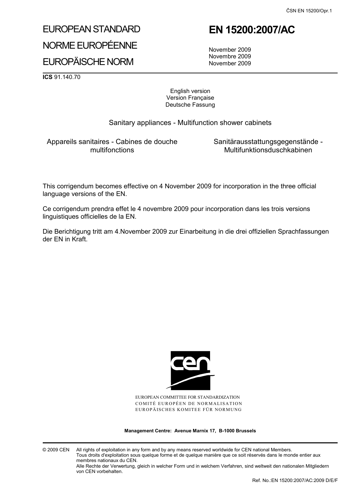## EUROPEAN STANDARD

## **EN 15200:2007/AC**

NORME EUROPÉENNE

EUROPÄISCHE NORM

 November 2009 Novembre 2009 November 2009

**ICS** 91.140.70

English version Version Française Deutsche Fassung

Sanitary appliances - Multifunction shower cabinets

Appareils sanitaires - Cabines de douche multifonctions

 Sanitärausstattungsgegenstände - Multifunktionsduschkabinen

This corrigendum becomes effective on 4 November 2009 for incorporation in the three official language versions of the EN.

Ce corrigendum prendra effet le 4 novembre 2009 pour incorporation dans les trois versions linguistiques officielles de la EN.

Die Berichtigung tritt am 4.November 2009 zur Einarbeitung in die drei offiziellen Sprachfassungen der EN in Kraft.



EUROPEAN COMMITTEE FOR STANDARDIZATION COMITÉ EUROPÉEN DE NORMALISATION EUROPÄISCHES KOMITEE FÜR NORMUNG

**Management Centre: Avenue Marnix 17, B-1000 Brussels** 

© 2009 CEN All rights of exploitation in any form and by any means reserved worldwide for CEN national Members. Tous droits d'exploitation sous quelque forme et de quelque manière que ce soit réservés dans le monde entier aux membres nationaux du CEN.

Alle Rechte der Verwertung, gleich in welcher Form und in welchem Verfahren, sind weltweit den nationalen Mitgliedern von CEN vorbehalten.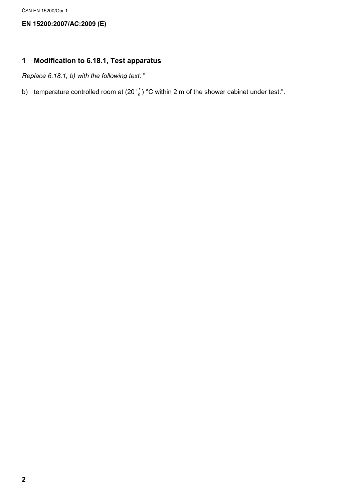### **EN 15200:2007/AC:2009 (E)**

#### **1 Modification to 6.18.1, Test apparatus**

*Replace 6.18.1, b) with the following text:* "

b) temperature controlled room at (20 $_{-0}^{+5}$  $^{+5}_{-0}$ ) °C within 2 m of the shower cabinet under test.".